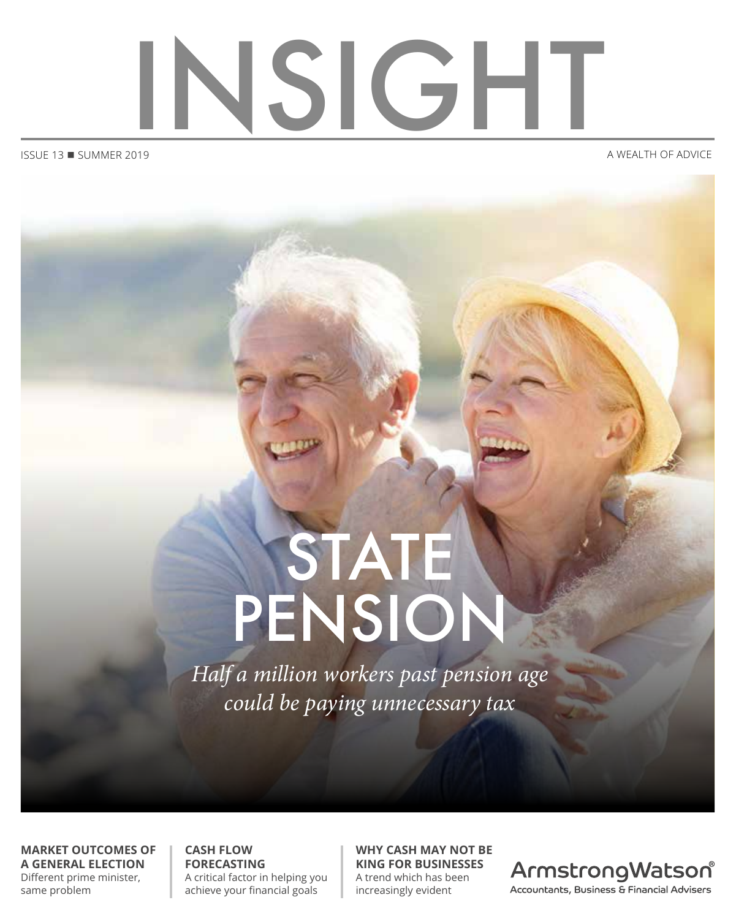

 $ISSUE$  13  $\blacksquare$  SUMMER 2019

# STATE PENSION

*Half a million workers past pension age could be paying unnecessary tax*

**MARKET OUTCOMES OF A GENERAL ELECTION** Different prime minister, same problem

**CASH FLOW FORECASTING** A critical factor in helping you achieve your financial goals

**WHY CASH MAY NOT BE KING FOR BUSINESSES** A trend which has been increasingly evident

ArmstrongWatson® Accountants, Business & Financial Advisers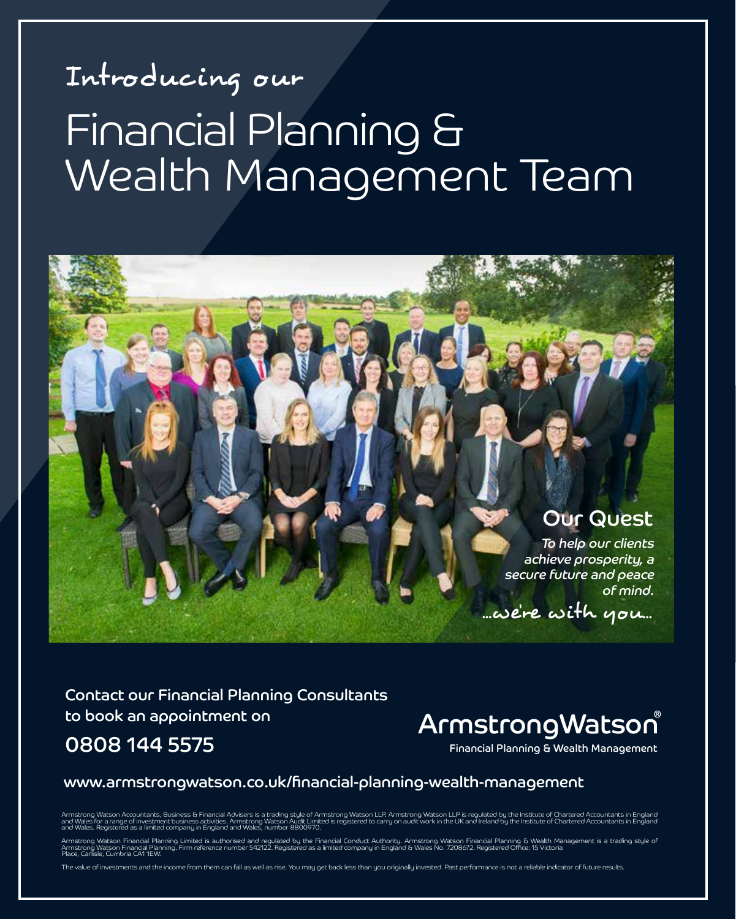### Introducing our Financial Planning & Wealth Management Team



Contact our Financial Planning Consultants to book an appointment on 0808 144 5575

### ArmstrongWatson ®

Financial Planning & Wealth Management

#### www.armstrongwatson.co.uk/financial-planning-wealth-management

Armstrong Watson Accountants, Business & Financial Advisers is a trading of memodynamic may be made the product<br>and Wales for a range of investment business activities. Armstrong Watson Audit Media (with the Uniter of Marm . For a range of investment business activities. Armstrong watson Auoit Limit<br>. Registered as a limited company in England and Wales, number 8800970.

Armstrong Watson Financial Planning Limited is authorised and regulated by the Financial Conduct Authority. Armstrong Watson Financial Planning & Wealth Management is a trading style of<br>Armstrong Watson Financial Planning.

ue of investments and the income from them can fall as well as rise. You may get back less than you originally invested. Past performance is not a reliable indicator of future results.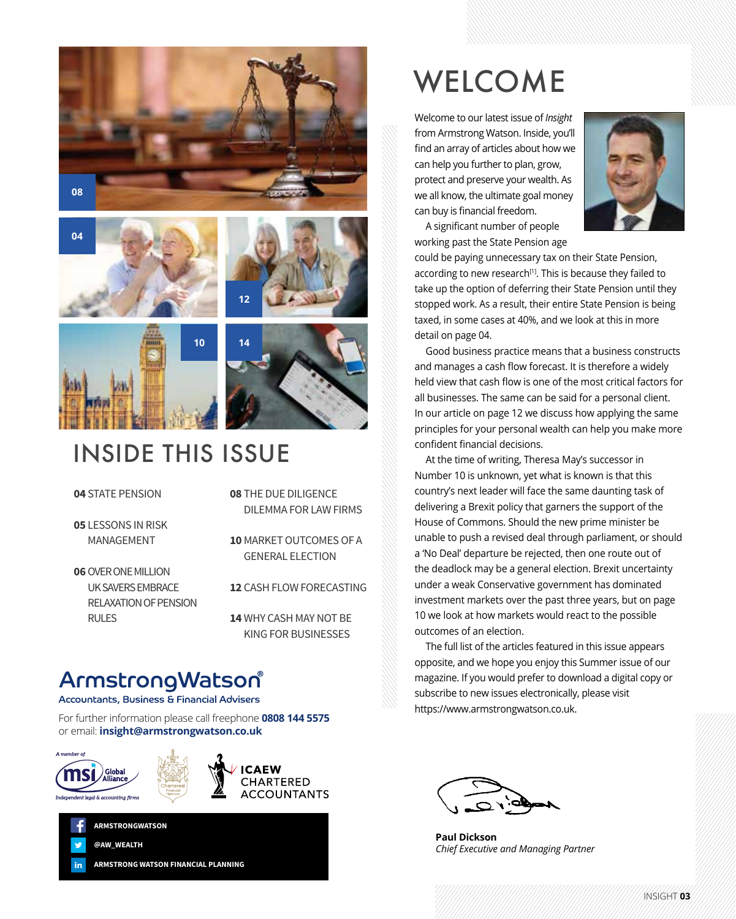









### INSIDE THIS ISSUE

#### **04** STATE PENSION

**05** LESSONS IN RISK MANAGEMENT

- **06**OVER ONE MILLION UK SAVERS EMBRACE RELAXATION OF PENSION RULES
- **08** THE DUE DILIGENCE DILEMMA FOR LAW FIRMS
- **10** MARKET OUTCOMES OF A GENERAL ELECTION

**12** CASH FLOW FORECASTING

**14** WHY CASH MAY NOT BE KING FOR BUSINESSES

### ArmstrongWatson®

Accountants, Business & Financial Advisers

**ARMSTRONG WATSON FINANCIAL PLANNING**

For further information please call freephone **0808 144 5575** or email: **insight@armstrongwatson.co.uk**



in

**@AW\_WEALTH ARMSTRONGWATSON**









#### we all know, the ultimate goal money can buy is financial freedom.



A significant number of people working past the State Pension age

Welcome to our latest issue of *Insight* from Armstrong Watson. Inside, you'll find an array of articles about how we can help you further to plan, grow, protect and preserve your wealth. As

**WELCOME** 

could be paying unnecessary tax on their State Pension, according to new research<sup>[1]</sup>. This is because they failed to take up the option of deferring their State Pension until they stopped work. As a result, their entire State Pension is being taxed, in some cases at 40%, and we look at this in more detail on page 04.

Good business practice means that a business constructs and manages a cash flow forecast. It is therefore a widely held view that cash flow is one of the most critical factors for all businesses. The same can be said for a personal client. In our article on page 12 we discuss how applying the same principles for your personal wealth can help you make more confident financial decisions.

At the time of writing, Theresa May's successor in Number 10 is unknown, yet what is known is that this country's next leader will face the same daunting task of delivering a Brexit policy that garners the support of the House of Commons. Should the new prime minister be unable to push a revised deal through parliament, or should a 'No Deal' departure be rejected, then one route out of the deadlock may be a general election. Brexit uncertainty under a weak Conservative government has dominated investment markets over the past three years, but on page 10 we look at how markets would react to the possible outcomes of an election.

The full list of the articles featured in this issue appears opposite, and we hope you enjoy this Summer issue of our magazine. If you would prefer to download a digital copy or subscribe to new issues electronically, please visit https://www.armstrongwatson.co.uk.

**Paul Dickson** *Chief Executive and Managing Partner* 

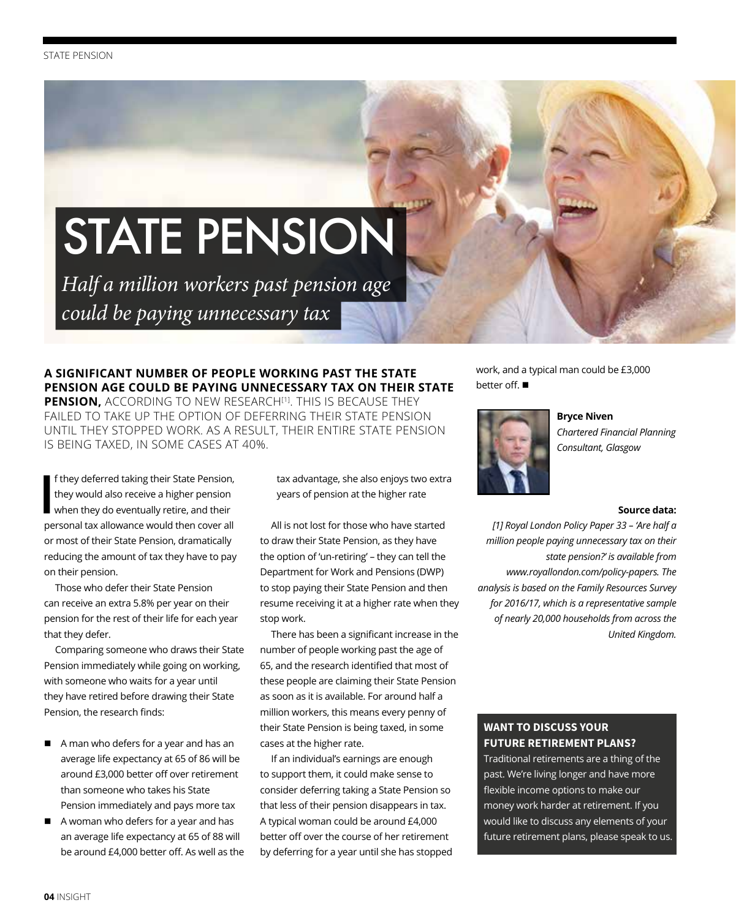## STATE PENSION

*Half a million workers past pension age could be paying unnecessary tax*

#### **A SIGNIFICANT NUMBER OF PEOPLE WORKING PAST THE STATE PENSION AGE COULD BE PAYING UNNECESSARY TAX ON THEIR STATE**  PENSION, ACCORDING TO NEW RESEARCH<sup>[1]</sup>. THIS IS BECAUSE THEY FAILED TO TAKE UP THE OPTION OF DEFERRING THEIR STATE PENSION

UNTIL THEY STOPPED WORK. AS A RESULT, THEIR ENTIRE STATE PENSION IS BEING TAXED, IN SOME CASES AT 40%.

**I** f they deferred taking their State Pension, they would also receive a higher pension when they do eventually retire, and their personal tax allowance would then cover all or most of their State Pension, dramatically reducing the amount of tax they have to pay on their pension.

Those who defer their State Pension can receive an extra 5.8% per year on their pension for the rest of their life for each year that they defer.

Comparing someone who draws their State Pension immediately while going on working, with someone who waits for a year until they have retired before drawing their State Pension, the research finds:

- A man who defers for a year and has an average life expectancy at 65 of 86 will be around £3,000 better off over retirement than someone who takes his State Pension immediately and pays more tax
- A woman who defers for a year and has an average life expectancy at 65 of 88 will be around £4,000 better off. As well as the

tax advantage, she also enjoys two extra years of pension at the higher rate

All is not lost for those who have started to draw their State Pension, as they have the option of 'un-retiring' – they can tell the Department for Work and Pensions (DWP) to stop paying their State Pension and then resume receiving it at a higher rate when they stop work.

There has been a significant increase in the number of people working past the age of 65, and the research identified that most of these people are claiming their State Pension as soon as it is available. For around half a million workers, this means every penny of their State Pension is being taxed, in some cases at the higher rate.

If an individual's earnings are enough to support them, it could make sense to consider deferring taking a State Pension so that less of their pension disappears in tax. A typical woman could be around £4,000 better off over the course of her retirement by deferring for a year until she has stopped work, and a typical man could be £3,000 better off.  $\blacksquare$ 



**Bryce Niven**

*Chartered Financial Planning Consultant, Glasgow*

#### **Source data:**

*[1] Royal London Policy Paper 33 – 'Are half a million people paying unnecessary tax on their state pension?' is available from www.royallondon.com/policy-papers. The analysis is based on the Family Resources Survey for 2016/17, which is a representative sample of nearly 20,000 households from across the United Kingdom.*

#### **WANT TO DISCUSS YOUR FUTURE RETIREMENT PLANS?**

Traditional retirements are a thing of the past. We're living longer and have more flexible income options to make our money work harder at retirement. If you would like to discuss any elements of your future retirement plans, please speak to us.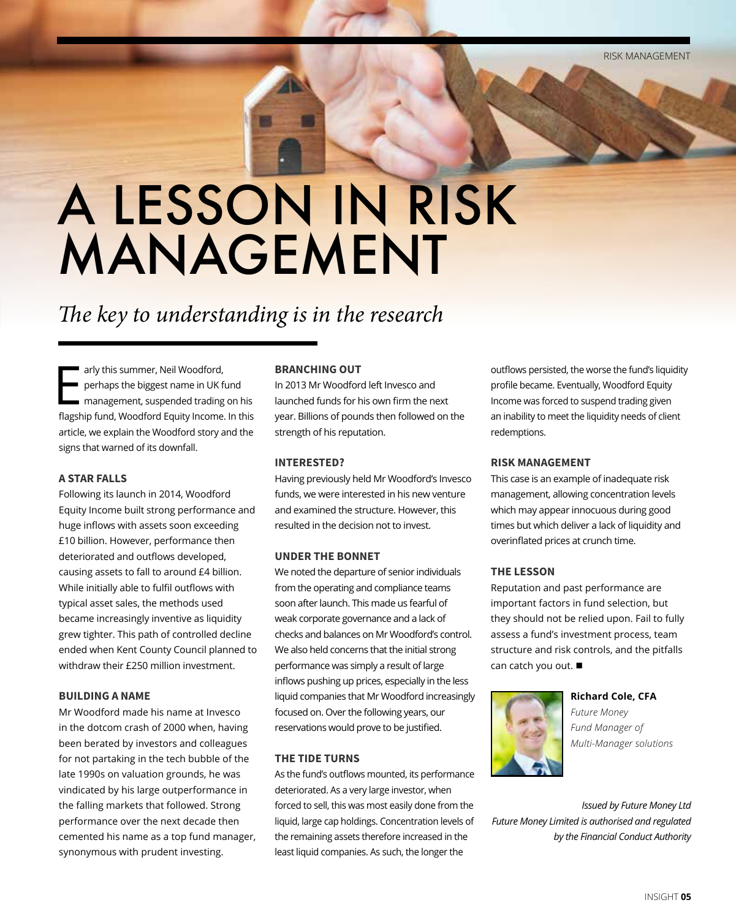## A LESSON IN RISK MANAGEMENT

### *The key to understanding is in the research*

Farly this summer, Neil Woodford,<br>
perhaps the biggest name in UK fund<br>
management, suspended trading on his<br>
fact is fired Weedfard Farity is agreed to this perhaps the biggest name in UK fund flagship fund, Woodford Equity Income. In this article, we explain the Woodford story and the signs that warned of its downfall.

#### **A STAR FALLS**

Following its launch in 2014, Woodford Equity Income built strong performance and huge inflows with assets soon exceeding £10 billion. However, performance then deteriorated and outflows developed, causing assets to fall to around £4 billion. While initially able to fulfil outflows with typical asset sales, the methods used became increasingly inventive as liquidity grew tighter. This path of controlled decline ended when Kent County Council planned to withdraw their £250 million investment.

#### **BUILDING A NAME**

Mr Woodford made his name at Invesco in the dotcom crash of 2000 when, having been berated by investors and colleagues for not partaking in the tech bubble of the late 1990s on valuation grounds, he was vindicated by his large outperformance in the falling markets that followed. Strong performance over the next decade then cemented his name as a top fund manager, synonymous with prudent investing.

#### **BRANCHING OUT**

In 2013 Mr Woodford left Invesco and launched funds for his own firm the next year. Billions of pounds then followed on the strength of his reputation.

#### **INTERESTED?**

Having previously held Mr Woodford's Invesco funds, we were interested in his new venture and examined the structure. However, this resulted in the decision not to invest.

#### **UNDER THE BONNET**

We noted the departure of senior individuals from the operating and compliance teams soon after launch. This made us fearful of weak corporate governance and a lack of checks and balances on Mr Woodford's control. We also held concerns that the initial strong performance was simply a result of large inflows pushing up prices, especially in the less liquid companies that Mr Woodford increasingly focused on. Over the following years, our reservations would prove to be justified.

#### **THE TIDE TURNS**

As the fund's outflows mounted, its performance deteriorated. As a very large investor, when forced to sell, this was most easily done from the liquid, large cap holdings. Concentration levels of the remaining assets therefore increased in the least liquid companies. As such, the longer the

outflows persisted, the worse the fund's liquidity profile became. Eventually, Woodford Equity Income was forced to suspend trading given an inability to meet the liquidity needs of client redemptions.

#### **RISK MANAGEMENT**

This case is an example of inadequate risk management, allowing concentration levels which may appear innocuous during good times but which deliver a lack of liquidity and overinflated prices at crunch time.

#### **THE LESSON**

Reputation and past performance are important factors in fund selection, but they should not be relied upon. Fail to fully assess a fund's investment process, team structure and risk controls, and the pitfalls can catch you out.  $\blacksquare$ 



**Richard Cole, CFA** *Future Money Fund Manager of Multi-Manager solutions*

*Issued by Future Money Ltd Future Money Limited is authorised and regulated by the Financial Conduct Authority*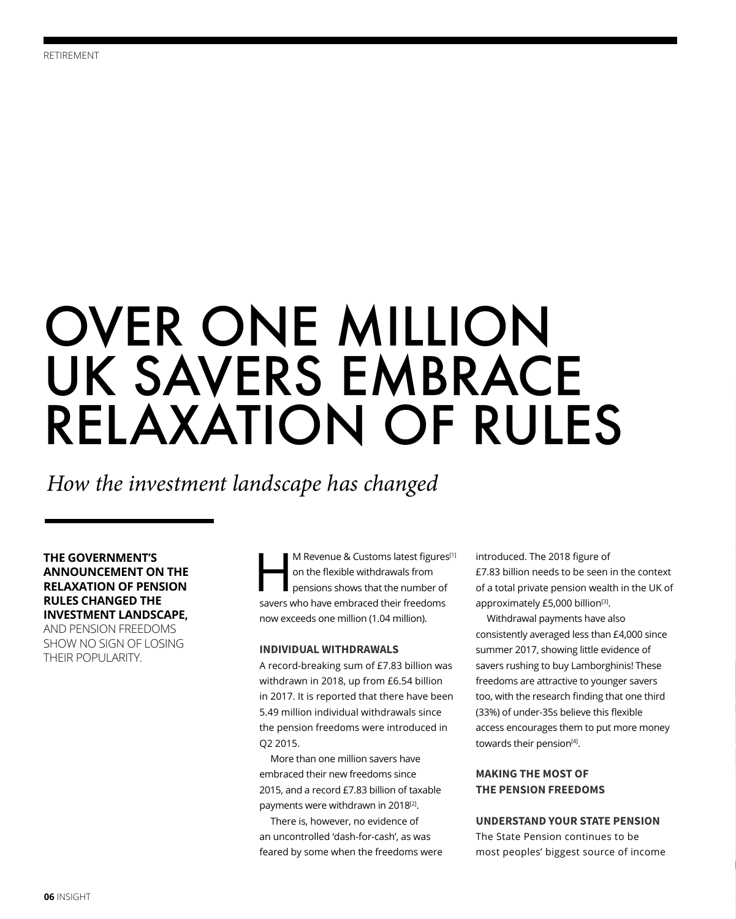## OVER ONE MILLION UK SAVERS EMBRACE RELAXATION OF RULES

*How the investment landscape has changed*

**THE GOVERNMENT'S ANNOUNCEMENT ON THE RELAXATION OF PENSION RULES CHANGED THE INVESTMENT LANDSCAPE,**  AND PENSION FREEDOMS SHOW NO SIGN OF LOSING THEIR POPULARITY.

M Revenue & Customs latest figures<sup>[1]</sup> on the flexible withdrawals from pensions shows that the number of savers who have embraced their freedoms now exceeds one million (1.04 million).

#### **INDIVIDUAL WITHDRAWALS**

A record-breaking sum of £7.83 billion was withdrawn in 2018, up from £6.54 billion in 2017. It is reported that there have been 5.49 million individual withdrawals since the pension freedoms were introduced in Q2 2015.

More than one million savers have embraced their new freedoms since 2015, and a record £7.83 billion of taxable payments were withdrawn in 2018<sup>[2]</sup>.

There is, however, no evidence of an uncontrolled 'dash-for-cash', as was feared by some when the freedoms were introduced. The 2018 figure of £7.83 billion needs to be seen in the context of a total private pension wealth in the UK of approximately £5,000 billion<sup>[3]</sup>.

Withdrawal payments have also consistently averaged less than £4,000 since summer 2017, showing little evidence of savers rushing to buy Lamborghinis! These freedoms are attractive to younger savers too, with the research finding that one third (33%) of under-35s believe this flexible access encourages them to put more money towards their pension<sup>[4]</sup>.

#### **MAKING THE MOST OF THE PENSION FREEDOMS**

#### **UNDERSTAND YOUR STATE PENSION**

The State Pension continues to be most peoples' biggest source of income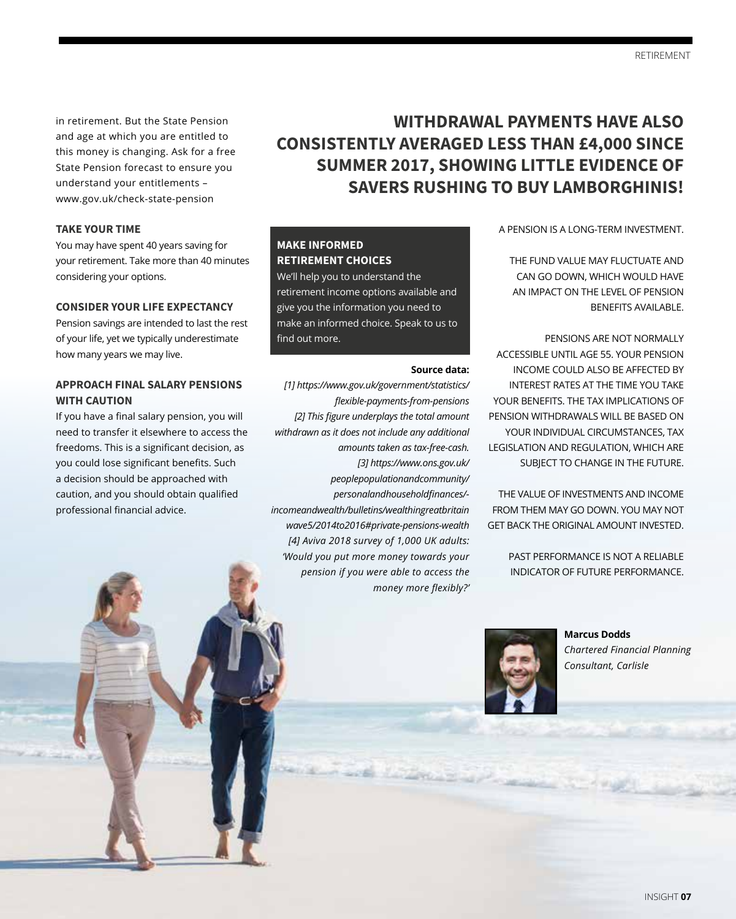in retirement. But the State Pension and age at which you are entitled to this money is changing. Ask for a free State Pension forecast to ensure you understand your entitlements – www.gov.uk/check-state-pension

#### **TAKE YOUR TIME**

You may have spent 40 years saving for your retirement. Take more than 40 minutes considering your options.

#### **CONSIDER YOUR LIFE EXPECTANCY**

Pension savings are intended to last the rest of your life, yet we typically underestimate how many years we may live.

#### **APPROACH FINAL SALARY PENSIONS WITH CAUTION**

If you have a final salary pension, you will need to transfer it elsewhere to access the freedoms. This is a significant decision, as you could lose significant benefits. Such a decision should be approached with caution, and you should obtain qualified professional financial advice.

### **WITHDRAWAL PAYMENTS HAVE ALSO CONSISTENTLY AVERAGED LESS THAN £4,000 SINCE SUMMER 2017, SHOWING LITTLE EVIDENCE OF SAVERS RUSHING TO BUY LAMBORGHINIS!**

**Source data:**

*[1] https://www.gov.uk/government/statistics/*

**MAKE INFORMED RETIREMENT CHOICES** We'll help you to understand the retirement income options available and give you the information you need to make an informed choice. Speak to us to

find out more.

*incomeandwealth/bulletins/wealthingreatbritain wave5/2014to2016#private-pensions-wealth [4] Aviva 2018 survey of 1,000 UK adults: 'Would you put more money towards your pension if you were able to access the* 

*flexible-payments-from-pensions [2] This figure underplays the total amount withdrawn as it does not include any additional* 

> *amounts taken as tax-free-cash. [3] https://www.ons.gov.uk/ peoplepopulationandcommunity/ personalandhouseholdfinances/-*

> > *money more flexibly?'*

A PENSION IS A LONG-TERM INVESTMENT.

THE FUND VALUE MAY FLUCTUATE AND CAN GO DOWN, WHICH WOULD HAVE AN IMPACT ON THE LEVEL OF PENSION BENEFITS AVAILABLE.

PENSIONS ARE NOT NORMALLY ACCESSIBLE UNTIL AGE 55. YOUR PENSION INCOME COULD ALSO BE AFFECTED BY INTEREST RATES AT THE TIME YOU TAKE YOUR BENEFITS. THE TAX IMPLICATIONS OF PENSION WITHDRAWALS WILL BE BASED ON YOUR INDIVIDUAL CIRCUMSTANCES, TAX LEGISLATION AND REGULATION, WHICH ARE SUBJECT TO CHANGE IN THE FUTURE.

THE VALUE OF INVESTMENTS AND INCOME FROM THEM MAY GO DOWN. YOU MAY NOT GET BACK THE ORIGINAL AMOUNT INVESTED.

> PAST PERFORMANCE IS NOT A RELIABLE INDICATOR OF FUTURE PERFORMANCE.



**Marcus Dodds** *Chartered Financial Planning Consultant, Carlisle*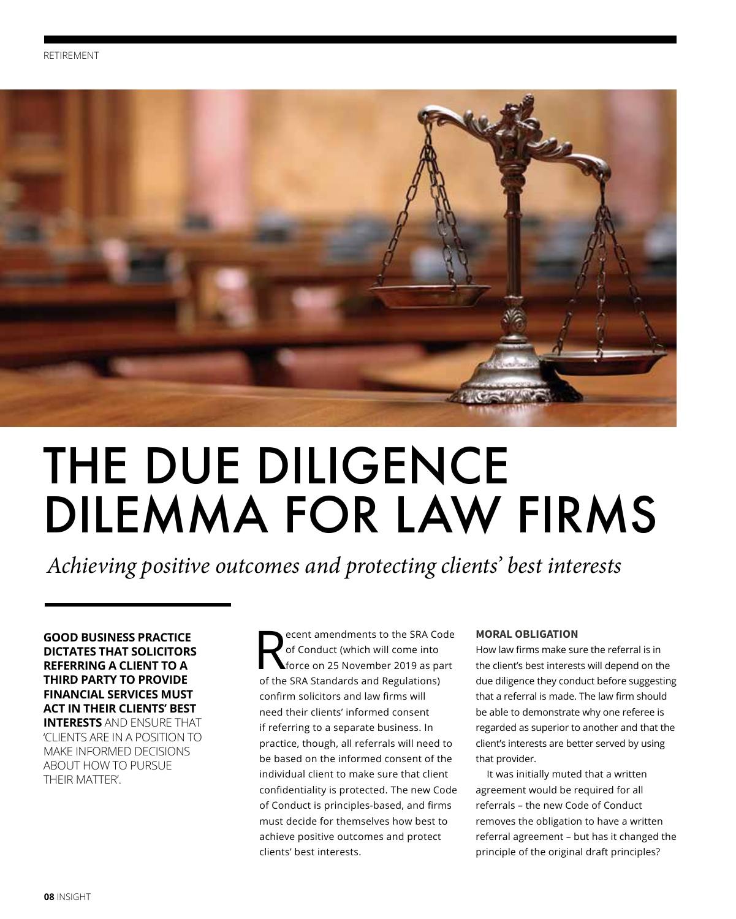

## THE DUE DILIGENCE DILEMMA FOR LAW FIRMS

*Achieving positive outcomes and protecting clients' best interests*

**GOOD BUSINESS PRACTICE DICTATES THAT SOLICITORS REFERRING A CLIENT TO A THIRD PARTY TO PROVIDE FINANCIAL SERVICES MUST ACT IN THEIR CLIENTS' BEST INTERESTS** AND ENSURE THAT 'CLIENTS ARE IN A POSITION TO MAKE INFORMED DECISIONS ABOUT HOW TO PURSUE

THEIR MATTER'.

Recent amendments to the SRA Code<br>of Conduct (which will come into<br>force on 25 November 2019 as part of Conduct (which will come into of the SRA Standards and Regulations) confirm solicitors and law firms will need their clients' informed consent if referring to a separate business. In practice, though, all referrals will need to be based on the informed consent of the individual client to make sure that client confidentiality is protected. The new Code of Conduct is principles-based, and firms must decide for themselves how best to achieve positive outcomes and protect clients' best interests.

#### **MORAL OBLIGATION**

How law firms make sure the referral is in the client's best interests will depend on the due diligence they conduct before suggesting that a referral is made. The law firm should be able to demonstrate why one referee is regarded as superior to another and that the client's interests are better served by using that provider.

It was initially muted that a written agreement would be required for all referrals – the new Code of Conduct removes the obligation to have a written referral agreement – but has it changed the principle of the original draft principles?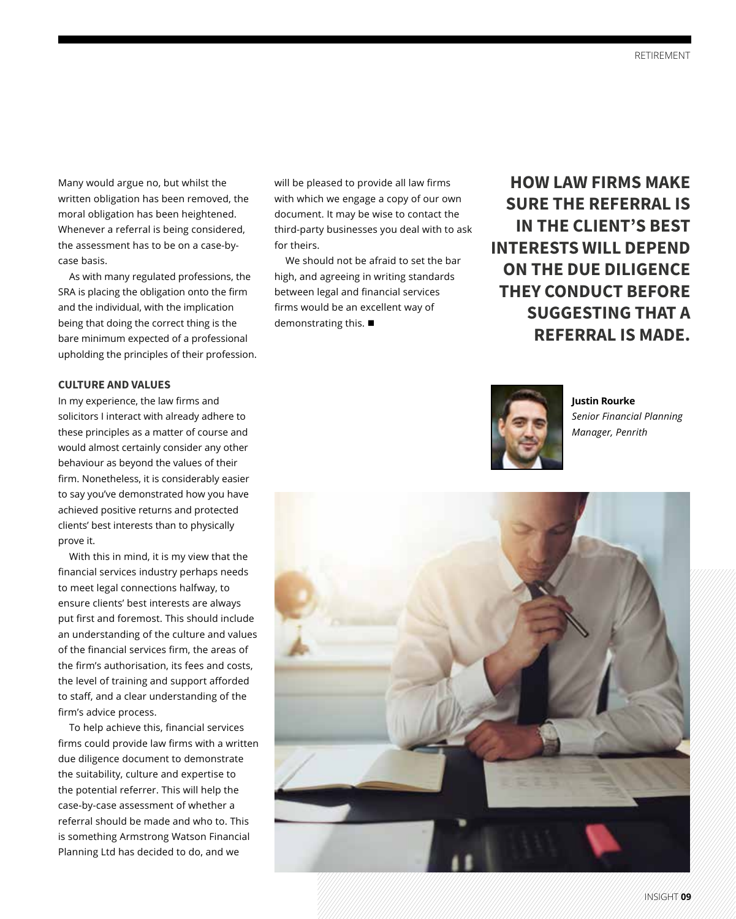Many would argue no, but whilst the written obligation has been removed, the moral obligation has been heightened. Whenever a referral is being considered, the assessment has to be on a case-bycase basis.

As with many regulated professions, the SRA is placing the obligation onto the firm and the individual, with the implication being that doing the correct thing is the bare minimum expected of a professional upholding the principles of their profession.

#### **CULTURE AND VALUES**

In my experience, the law firms and solicitors I interact with already adhere to these principles as a matter of course and would almost certainly consider any other behaviour as beyond the values of their firm. Nonetheless, it is considerably easier to say you've demonstrated how you have achieved positive returns and protected clients' best interests than to physically prove it.

With this in mind, it is my view that the financial services industry perhaps needs to meet legal connections halfway, to ensure clients' best interests are always put first and foremost. This should include an understanding of the culture and values of the financial services firm, the areas of the firm's authorisation, its fees and costs, the level of training and support afforded to staff, and a clear understanding of the firm's advice process.

To help achieve this, financial services firms could provide law firms with a written due diligence document to demonstrate the suitability, culture and expertise to the potential referrer. This will help the case-by-case assessment of whether a referral should be made and who to. This is something Armstrong Watson Financial Planning Ltd has decided to do, and we

will be pleased to provide all law firms with which we engage a copy of our own document. It may be wise to contact the third-party businesses you deal with to ask for theirs.

We should not be afraid to set the bar high, and agreeing in writing standards between legal and financial services firms would be an excellent way of demonstrating this.  $\blacksquare$ 

**HOW LAW FIRMS MAKE SURE THE REFERRAL IS IN THE CLIENT'S BEST INTERESTS WILL DEPEND ON THE DUE DILIGENCE THEY CONDUCT BEFORE SUGGESTING THAT A REFERRAL IS MADE.** 



**Justin Rourke** *Senior Financial Planning Manager, Penrith*

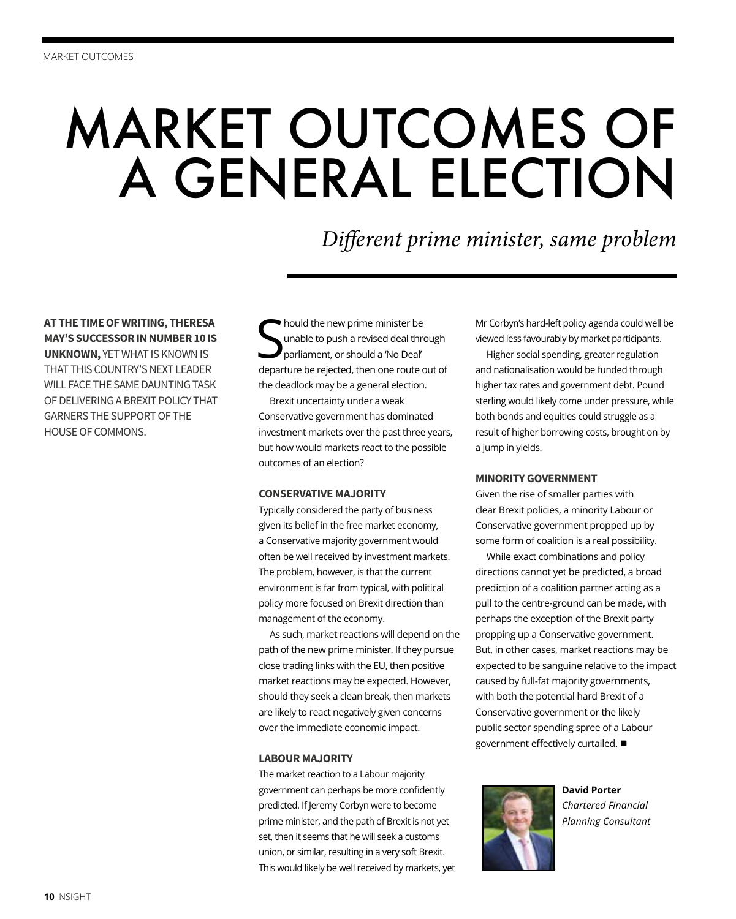## MARKET OUTCOMES OF A GENERAL ELECTION

### *Different prime minister, same problem*

**AT THE TIME OF WRITING, THERESA MAY'S SUCCESSOR IN NUMBER 10 IS UNKNOWN,** YET WHAT IS KNOWN IS THAT THIS COUNTRY'S NEXT LEADER WILL FACE THE SAME DAUNTING TASK OF DELIVERING A BREXIT POLICY THAT GARNERS THE SUPPORT OF THE HOUSE OF COMMONS.

S hould the new prime minister be unable to push a revised deal through parliament, or should a 'No Deal' departure be rejected, then one route out of the deadlock may be a general election.

Brexit uncertainty under a weak Conservative government has dominated investment markets over the past three years, but how would markets react to the possible outcomes of an election?

#### **CONSERVATIVE MAJORITY**

Typically considered the party of business given its belief in the free market economy, a Conservative majority government would often be well received by investment markets. The problem, however, is that the current environment is far from typical, with political policy more focused on Brexit direction than management of the economy.

As such, market reactions will depend on the path of the new prime minister. If they pursue close trading links with the EU, then positive market reactions may be expected. However, should they seek a clean break, then markets are likely to react negatively given concerns over the immediate economic impact.

#### **LABOUR MAJORITY**

The market reaction to a Labour majority government can perhaps be more confidently predicted. If Jeremy Corbyn were to become prime minister, and the path of Brexit is not yet set, then it seems that he will seek a customs union, or similar, resulting in a very soft Brexit. This would likely be well received by markets, yet Mr Corbyn's hard-left policy agenda could well be viewed less favourably by market participants.

Higher social spending, greater regulation and nationalisation would be funded through higher tax rates and government debt. Pound sterling would likely come under pressure, while both bonds and equities could struggle as a result of higher borrowing costs, brought on by a jump in yields.

#### **MINORITY GOVERNMENT**

Given the rise of smaller parties with clear Brexit policies, a minority Labour or Conservative government propped up by some form of coalition is a real possibility.

While exact combinations and policy directions cannot yet be predicted, a broad prediction of a coalition partner acting as a pull to the centre-ground can be made, with perhaps the exception of the Brexit party propping up a Conservative government. But, in other cases, market reactions may be expected to be sanguine relative to the impact caused by full-fat majority governments, with both the potential hard Brexit of a Conservative government or the likely public sector spending spree of a Labour government effectively curtailed.  $\blacksquare$ 



**David Porter** *Chartered Financial Planning Consultant*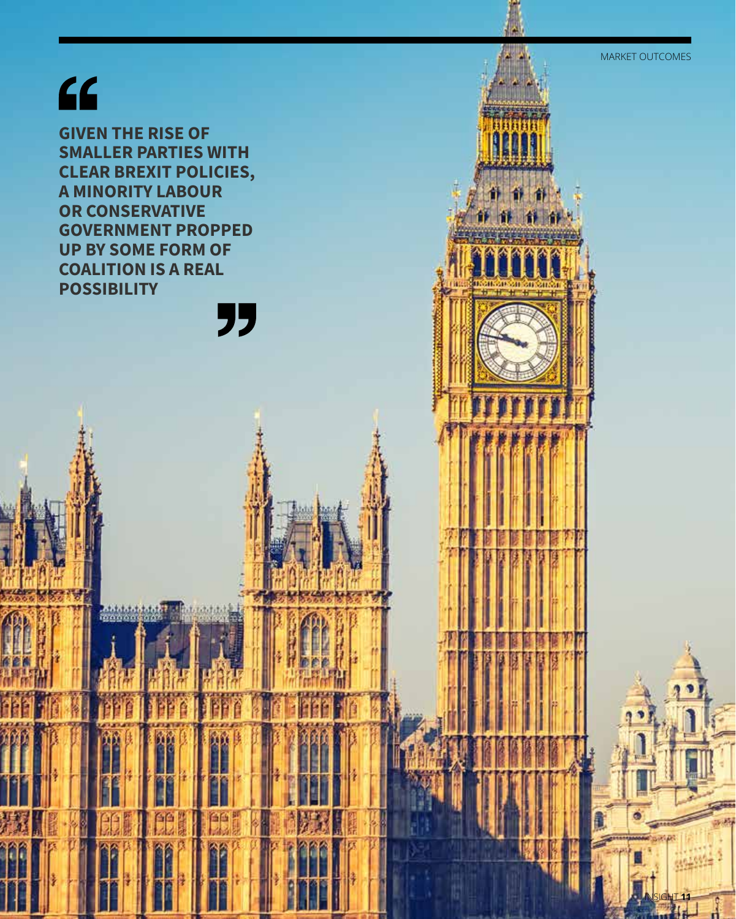## $66$

因

**Print de la fațat**<br>Le caracteristat

**GIVEN THE RISE OF SMALLER PARTIES WITH CLEAR BREXIT POLICIES, A MINORITY LABOUR OR CONSERVATIVE GOVERNMENT PROPPED UP BY SOME FORM OF COALITION IS A REAL POSSIBILITY**" MARKET OUTCOMES

INSIGHT **11**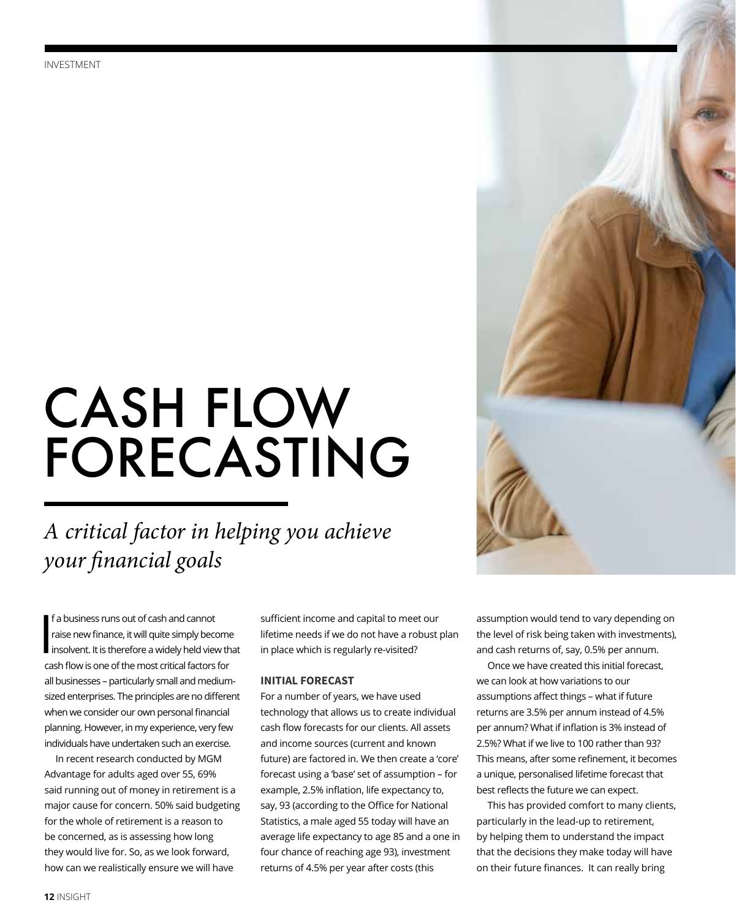## CASH FLOW FORECASTING

### *A critical factor in helping you achieve your financial goals*

 $\int_{i}^{f}$ f a business runs out of cash and cannot raise new finance, it will quite simply become insolvent. It is therefore a widely held view that cash flow is one of the most critical factors for all businesses – particularly small and mediumsized enterprises. The principles are no different when we consider our own personal financial planning. However, in my experience, very few individuals have undertaken such an exercise.

In recent research conducted by MGM Advantage for adults aged over 55, 69% said running out of money in retirement is a major cause for concern. 50% said budgeting for the whole of retirement is a reason to be concerned, as is assessing how long they would live for. So, as we look forward, how can we realistically ensure we will have

sufficient income and capital to meet our lifetime needs if we do not have a robust plan in place which is regularly re-visited?

#### **INITIAL FORECAST**

For a number of years, we have used technology that allows us to create individual cash flow forecasts for our clients. All assets and income sources (current and known future) are factored in. We then create a 'core' forecast using a 'base' set of assumption – for example, 2.5% inflation, life expectancy to, say, 93 (according to the Office for National Statistics, a male aged 55 today will have an average life expectancy to age 85 and a one in four chance of reaching age 93), investment returns of 4.5% per year after costs (this



assumption would tend to vary depending on the level of risk being taken with investments), and cash returns of, say, 0.5% per annum.

Once we have created this initial forecast, we can look at how variations to our assumptions affect things – what if future returns are 3.5% per annum instead of 4.5% per annum? What if inflation is 3% instead of 2.5%? What if we live to 100 rather than 93? This means, after some refinement, it becomes a unique, personalised lifetime forecast that best reflects the future we can expect.

This has provided comfort to many clients, particularly in the lead-up to retirement, by helping them to understand the impact that the decisions they make today will have on their future finances. It can really bring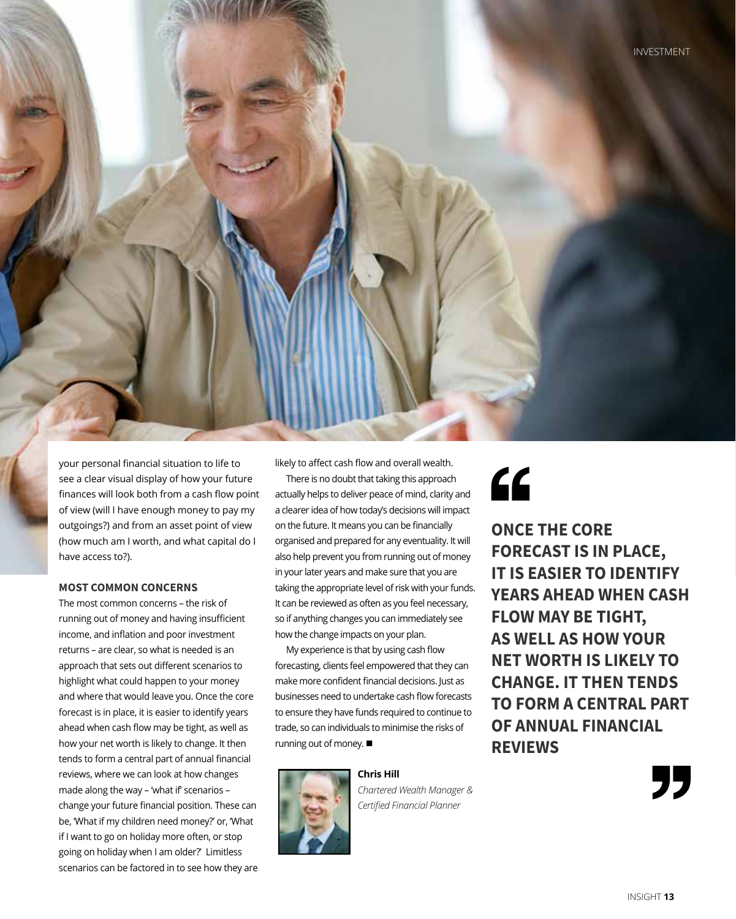

your personal financial situation to life to see a clear visual display of how your future finances will look both from a cash flow point of view (will I have enough money to pay my outgoings?) and from an asset point of view (how much am I worth, and what capital do I have access to?).

#### **MOST COMMON CONCERNS**

The most common concerns – the risk of running out of money and having insufficient income, and inflation and poor investment returns – are clear, so what is needed is an approach that sets out different scenarios to highlight what could happen to your money and where that would leave you. Once the core forecast is in place, it is easier to identify years ahead when cash flow may be tight, as well as how your net worth is likely to change. It then tends to form a central part of annual financial reviews, where we can look at how changes made along the way – 'what if' scenarios – change your future financial position. These can be, 'What if my children need money?' or, 'What if I want to go on holiday more often, or stop going on holiday when I am older?' Limitless scenarios can be factored in to see how they are likely to affect cash flow and overall wealth.

There is no doubt that taking this approach actually helps to deliver peace of mind, clarity and a clearer idea of how today's decisions will impact on the future. It means you can be financially organised and prepared for any eventuality. It will also help prevent you from running out of money in your later years and make sure that you are taking the appropriate level of risk with your funds. It can be reviewed as often as you feel necessary, so if anything changes you can immediately see how the change impacts on your plan.

My experience is that by using cash flow forecasting, clients feel empowered that they can make more confident financial decisions. Just as businesses need to undertake cash flow forecasts to ensure they have funds required to continue to trade, so can individuals to minimise the risks of running out of money.  $\blacksquare$ 



*Chartered Wealth Manager & Certified Financial Planner* 

## "

**ONCE THE CORE FORECAST IS IN PLACE, IT IS EASIER TO IDENTIFY YEARS AHEAD WHEN CASH FLOW MAY BE TIGHT, AS WELL AS HOW YOUR NET WORTH IS LIKELY TO CHANGE. IT THEN TENDS TO FORM A CENTRAL PART OF ANNUAL FINANCIAL REVIEWS**

"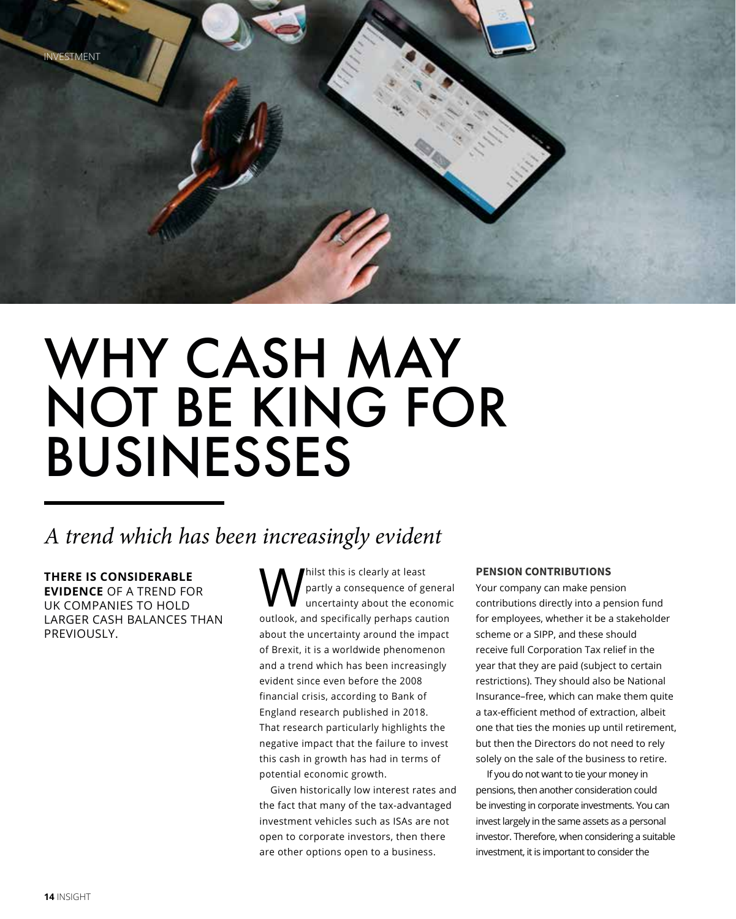

## WHY CASH MAY NOT BE KING FOR BUSINESSES

### *A trend which has been increasingly evident*

**THERE IS CONSIDERABLE EVIDENCE** OF A TREND FOR UK COMPANIES TO HOLD LARGER CASH BALANCES THAN PREVIOUSLY

Whilst this is clearly at least<br>partly a consequence of got partly a consequence of general uncertainty about the economic outlook, and specifically perhaps caution about the uncertainty around the impact of Brexit, it is a worldwide phenomenon and a trend which has been increasingly evident since even before the 2008 financial crisis, according to Bank of England research published in 2018. That research particularly highlights the negative impact that the failure to invest this cash in growth has had in terms of potential economic growth.

Given historically low interest rates and the fact that many of the tax-advantaged investment vehicles such as ISAs are not open to corporate investors, then there are other options open to a business.

#### **PENSION CONTRIBUTIONS**

Your company can make pension contributions directly into a pension fund for employees, whether it be a stakeholder scheme or a SIPP, and these should receive full Corporation Tax relief in the year that they are paid (subject to certain restrictions). They should also be National Insurance–free, which can make them quite a tax-efficient method of extraction, albeit one that ties the monies up until retirement, but then the Directors do not need to rely solely on the sale of the business to retire.

If you do not want to tie your money in pensions, then another consideration could be investing in corporate investments. You can invest largely in the same assets as a personal investor. Therefore, when considering a suitable investment, it is important to consider the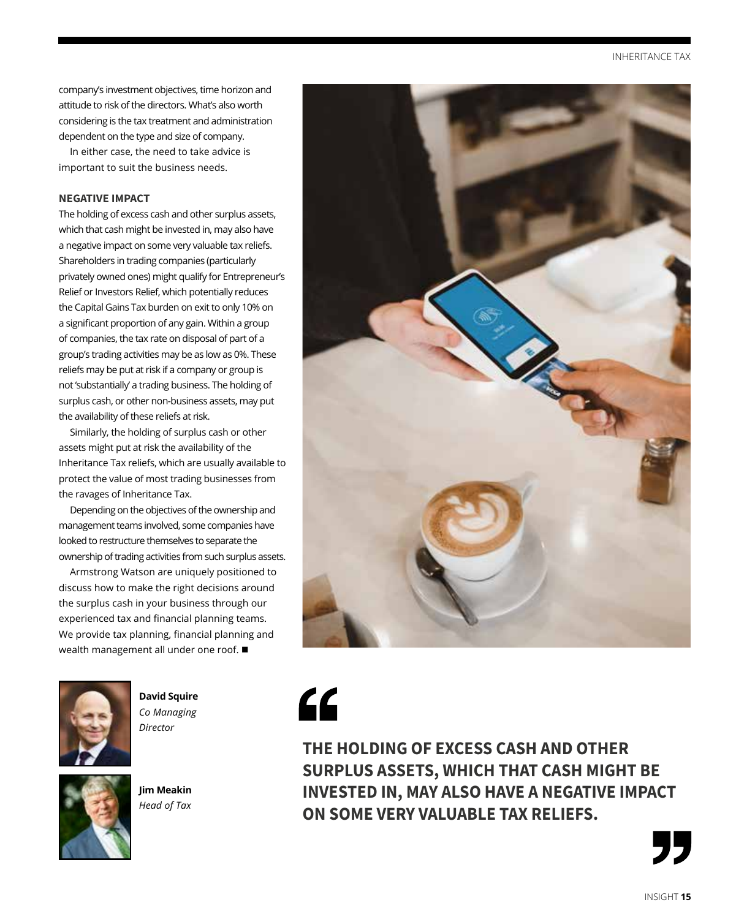company's investment objectives, time horizon and attitude to risk of the directors. What's also worth considering is the tax treatment and administration dependent on the type and size of company.

In either case, the need to take advice is important to suit the business needs.

#### **NEGATIVE IMPACT**

The holding of excess cash and other surplus assets, which that cash might be invested in, may also have a negative impact on some very valuable tax reliefs. Shareholders in trading companies (particularly privately owned ones) might qualify for Entrepreneur's Relief or Investors Relief, which potentially reduces the Capital Gains Tax burden on exit to only 10% on a significant proportion of any gain. Within a group of companies, the tax rate on disposal of part of a group's trading activities may be as low as 0%. These reliefs may be put at risk if a company or group is not 'substantially' a trading business. The holding of surplus cash, or other non-business assets, may put the availability of these reliefs at risk.

Similarly, the holding of surplus cash or other assets might put at risk the availability of the Inheritance Tax reliefs, which are usually available to protect the value of most trading businesses from the ravages of Inheritance Tax.

Depending on the objectives of the ownership and management teams involved, some companies have looked to restructure themselves to separate the ownership of trading activities from such surplus assets.

Armstrong Watson are uniquely positioned to discuss how to make the right decisions around the surplus cash in your business through our experienced tax and financial planning teams. We provide tax planning, financial planning and wealth management all under one roof.  $\blacksquare$ 



**David Squire** *Co Managing Director*



**Jim Meakin** *Head of Tax*



**THE HOLDING OF EXCESS CASH AND OTHER SURPLUS ASSETS, WHICH THAT CASH MIGHT BE INVESTED IN, MAY ALSO HAVE A NEGATIVE IMPACT ON SOME VERY VALUABLE TAX RELIEFS.**